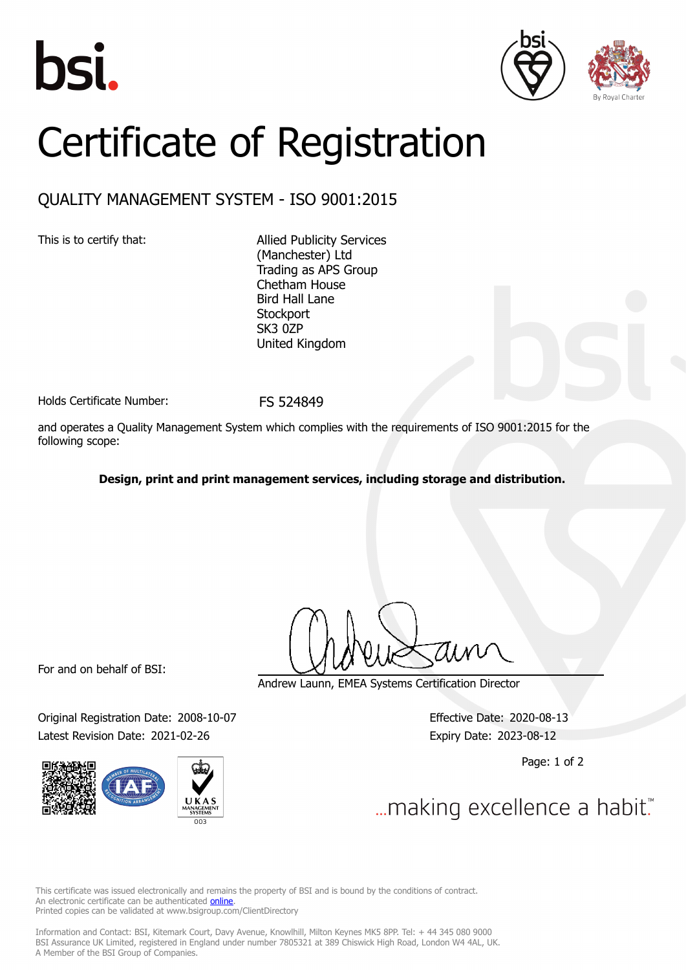





## Certificate of Registration

## QUALITY MANAGEMENT SYSTEM - ISO 9001:2015

This is to certify that: Allied Publicity Services (Manchester) Ltd Trading as APS Group Chetham House Bird Hall Lane **Stockport** SK<sub>3</sub> 0ZP United Kingdom

Holds Certificate Number: FS 524849

and operates a Quality Management System which complies with the requirements of ISO 9001:2015 for the following scope:

**Design, print and print management services, including storage and distribution.**

For and on behalf of BSI:

Original Registration Date: 2008-10-07 Effective Date: 2020-08-13 Latest Revision Date: 2021-02-26 Expiry Date: 2023-08-12



Andrew Launn, EMEA Systems Certification Director

Page: 1 of 2

... making excellence a habit."

This certificate was issued electronically and remains the property of BSI and is bound by the conditions of contract. An electronic certificate can be authenticated **[online](https://pgplus.bsigroup.com/CertificateValidation/CertificateValidator.aspx?CertificateNumber=FS+524849&ReIssueDate=26%2f02%2f2021&Template=uk)**. Printed copies can be validated at www.bsigroup.com/ClientDirectory

Information and Contact: BSI, Kitemark Court, Davy Avenue, Knowlhill, Milton Keynes MK5 8PP. Tel: + 44 345 080 9000 BSI Assurance UK Limited, registered in England under number 7805321 at 389 Chiswick High Road, London W4 4AL, UK. A Member of the BSI Group of Companies.